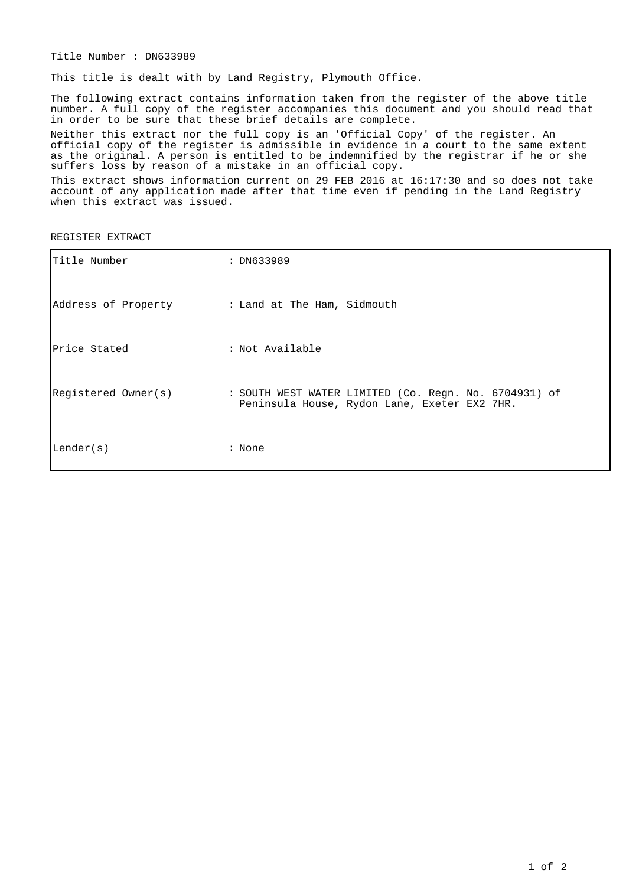Title Number : DN633989

This title is dealt with by Land Registry, Plymouth Office.

The following extract contains information taken from the register of the above title number. A full copy of the register accompanies this document and you should read that in order to be sure that these brief details are complete.

Neither this extract nor the full copy is an 'Official Copy' of the register. An official copy of the register is admissible in evidence in a court to the same extent as the original. A person is entitled to be indemnified by the registrar if he or she suffers loss by reason of a mistake in an official copy.

This extract shows information current on 29 FEB 2016 at 16:17:30 and so does not take account of any application made after that time even if pending in the Land Registry when this extract was issued.

REGISTER EXTRACT

| Title Number                                    | : DN633989                                                                                            |
|-------------------------------------------------|-------------------------------------------------------------------------------------------------------|
| Address of Property : Land at The Ham, Sidmouth |                                                                                                       |
| Price Stated                                    | : Not Available                                                                                       |
| Registered Owner(s)                             | : SOUTH WEST WATER LIMITED (Co. Regn. No. 6704931) of<br>Peninsula House, Rydon Lane, Exeter EX2 7HR. |
| Lender(s)                                       | : None                                                                                                |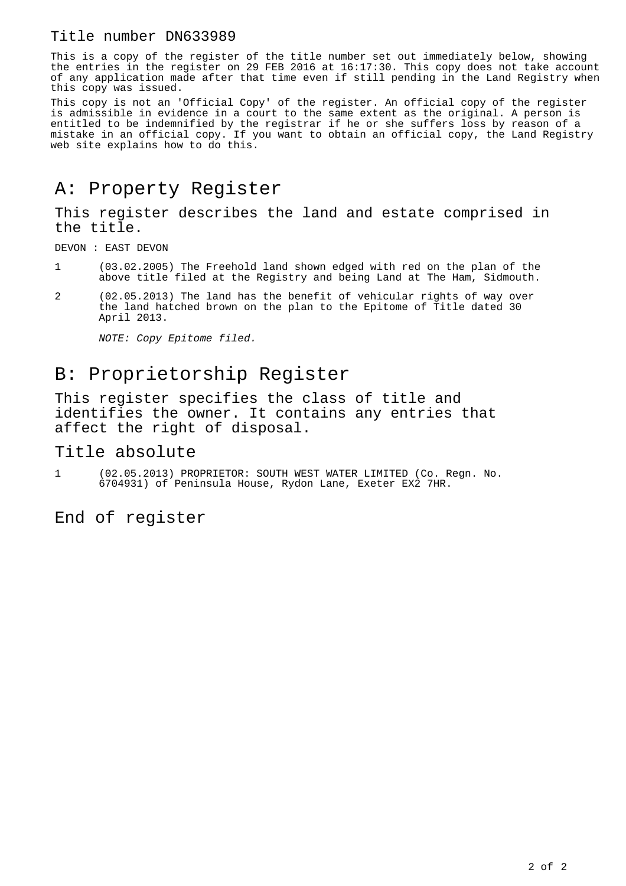#### Title number DN633989

This is a copy of the register of the title number set out immediately below, showing the entries in the register on 29 FEB 2016 at 16:17:30. This copy does not take account of any application made after that time even if still pending in the Land Registry when this copy was issued.

This copy is not an 'Official Copy' of the register. An official copy of the register is admissible in evidence in a court to the same extent as the original. A person is entitled to be indemnified by the registrar if he or she suffers loss by reason of a mistake in an official copy. If you want to obtain an official copy, the Land Registry web site explains how to do this.

### A: Property Register

This register describes the land and estate comprised in the title.

DEVON : EAST DEVON

- 1 (03.02.2005) The Freehold land shown edged with red on the plan of the above title filed at the Registry and being Land at The Ham, Sidmouth.
- 2 (02.05.2013) The land has the benefit of vehicular rights of way over the land hatched brown on the plan to the Epitome of Title dated 30 April 2013.

NOTE: Copy Epitome filed.

## B: Proprietorship Register

This register specifies the class of title and identifies the owner. It contains any entries that affect the right of disposal.

#### Title absolute

1 (02.05.2013) PROPRIETOR: SOUTH WEST WATER LIMITED (Co. Regn. No. 6704931) of Peninsula House, Rydon Lane, Exeter EX2 7HR.

End of register